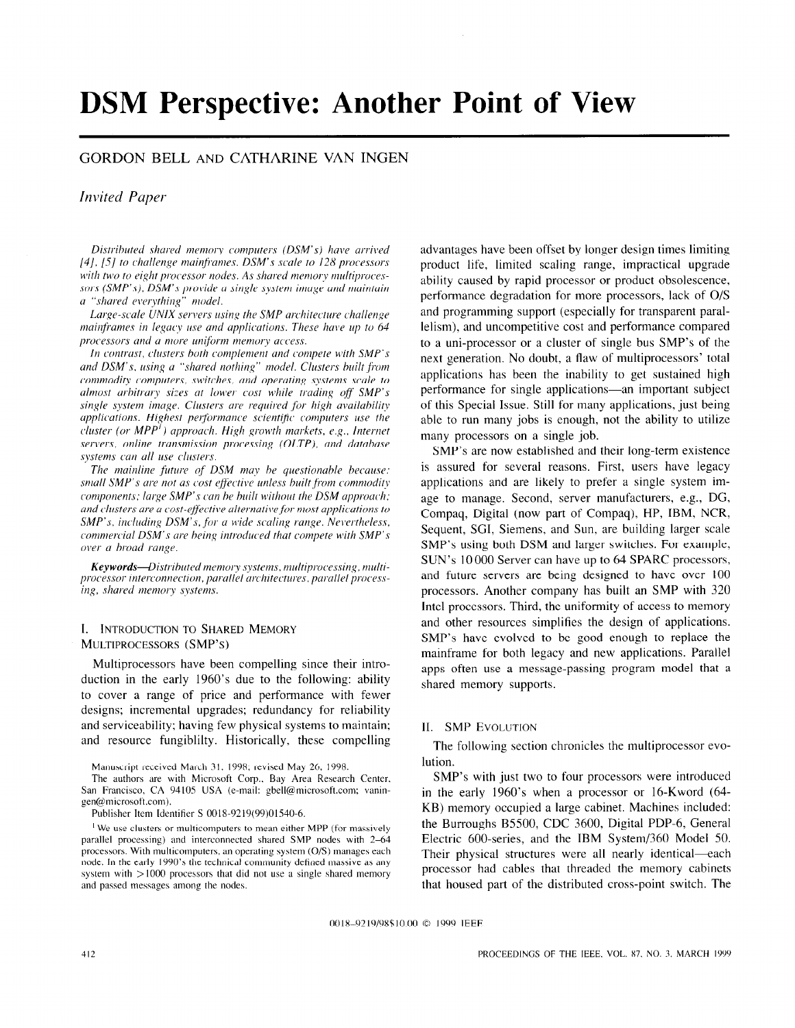# **DSM Perspective: Another Point of View**

# GORDON BELL AND CATHARINE VAN INGEN

## **Invited Paper**

Distributed shared memory computers (DSM's) have arrived [4], [5] to challenge mainframes. DSM's scale to 128 processors with two to eight processor nodes. As shared memory multiprocessors (SMP's), DSM's provide a single system image and maintain a "shared everything" model.

Large-scale UNIX servers using the SMP architecture challenge mainframes in legacy use and applications. These have up to 64 processors and a more uniform memory access.

In contrast, clusters both complement and compete with SMP's and DSM's, using a "shared nothing" model. Clusters built from commodity computers, switches, and operating systems scale to almost arbitrary sizes at lower cost while trading off SMP's single system image. Clusters are required for high availability applications. Highest performance scientific computers use the cluster (or MPP<sup>1</sup>) approach. High growth markets, e.g., Internet servers, online transmission processing (OLTP), and database systems can all use clusters.

The mainline future of DSM may be questionable because: small SMP's are not as cost effective unless built from commodity components; large SMP's can be built without the DSM approach; and clusters are a cost-effective alternative for most applications to SMP's, including DSM's, for a wide scaling range. Nevertheless, commercial DSM's are being introduced that compete with SMP's over a broad range.

**Keywords**—Distributed memory systems, multiprocessing, multiprocessor interconnection, parallel architectures, parallel processing, shared memory systems.

#### I. INTRODUCTION TO SHARED MEMORY MULTIPROCESSORS (SMP'S)

Multiprocessors have been compelling since their introduction in the early 1960's due to the following: ability to cover a range of price and performance with fewer designs; incremental upgrades; redundancy for reliability and serviceability; having few physical systems to maintain; and resource fungiblilty. Historically, these compelling

advantages have been offset by longer design times limiting product life, limited scaling range, impractical upgrade ability caused by rapid processor or product obsolescence, performance degradation for more processors, lack of O/S and programming support (especially for transparent parallelism), and uncompetitive cost and performance compared to a uni-processor or a cluster of single bus SMP's of the next generation. No doubt, a flaw of multiprocessors' total applications has been the inability to get sustained high performance for single applications—an important subject of this Special Issue. Still for many applications, just being able to run many jobs is enough, not the ability to utilize many processors on a single job.

SMP's are now established and their long-term existence is assured for several reasons. First, users have legacy applications and are likely to prefer a single system image to manage. Second, server manufacturers, e.g., DG, Compaq, Digital (now part of Compaq), HP, IBM, NCR, Sequent, SGI, Siemens, and Sun, are building larger scale SMP's using both DSM and larger switches. For example, SUN's 10000 Server can have up to 64 SPARC processors, and future servers are being designed to have over 100 processors. Another company has built an SMP with 320 Intel processors. Third, the uniformity of access to memory and other resources simplifies the design of applications. SMP's have evolved to be good enough to replace the mainframe for both legacy and new applications. Parallel apps often use a message-passing program model that a shared memory supports.

#### II. SMP EVOLUTION

The following section chronicles the multiprocessor evolution.

SMP's with just two to four processors were introduced in the early 1960's when a processor or 16-Kword (64-KB) memory occupied a large cabinet. Machines included: the Burroughs B5500, CDC 3600, Digital PDP-6, General Electric 600-series, and the IBM System/360 Model 50. Their physical structures were all nearly identical-each processor had cables that threaded the memory cabinets that housed part of the distributed cross-point switch. The

Manuscript received March 31, 1998; revised May 26, 1998.

The authors are with Microsoft Corp., Bay Area Research Center, San Francisco, CA 94105 USA (e-mail: gbell@microsoft.com; vaningen@microsoft.com).

Publisher Item Identifier S 0018-9219(99)01540-6.

<sup>&</sup>lt;sup>1</sup>We use clusters or multicomputers to mean either MPP (for massively parallel processing) and interconnected shared SMP nodes with 2-64 processors. With multicomputers, an operating system (O/S) manages each node. In the early 1990's the technical community defined massive as any system with  $>1000$  processors that did not use a single shared memory and passed messages among the nodes.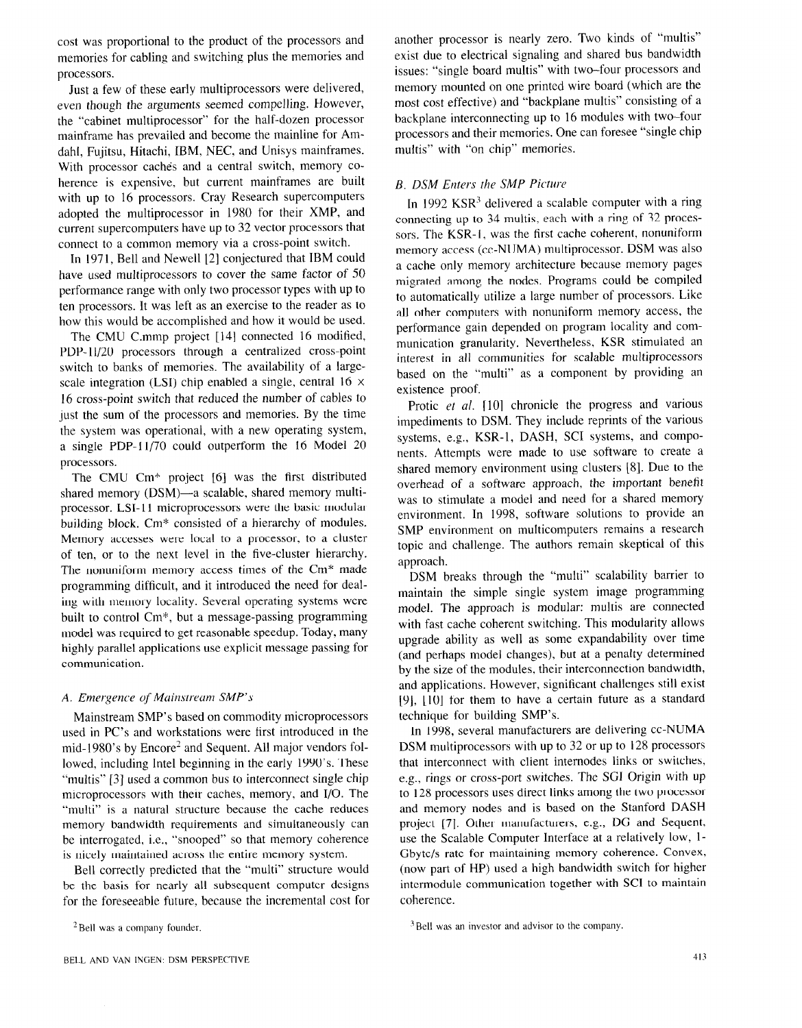cost was proportional to the product of the processors and memories for cabling and switching plus the memories and processors.

Just a few of these early multiprocessors were delivered, even though the arguments seemed compelling. However, the "cabinet multiprocessor" for the half-dozen processor mainframe has prevailed and become the mainline for Amdahl, Fujitsu, Hitachi, IBM, NEC, and Unisys mainframes. With processor caches and a central switch, memory coherence is expensive, but current mainframes are built with up to 16 processors. Cray Research supercomputers adopted the multiprocessor in 1980 for their XMP, and current supercomputers have up to 32 vector processors that connect to a common memory via a cross-point switch.

In 1971, Bell and Newell [2] conjectured that IBM could have used multiprocessors to cover the same factor of 50 performance range with only two processor types with up to ten processors. It was left as an exercise to the reader as to how this would be accomplished and how it would be used.

The CMU C.mmp project [14] connected 16 modified, PDP- 11/20 processors through a centralized cross-point switch to banks of memories. The availability of a largescale integration (LSI) chip enabled a single, central  $16 \times$ 16 cross-point switch that reduced the number of cables to just the sum of the processors and memories. By the time the system was operational, with a new operating system, a single PDP-1 l/70 could outperform the 16 Model 20 processors.

The CMU Cm\* project [6] was the first distributed shared memory (DSM)-a scalable, shared memory multiprocessor. LSI-11 microprocessors were the basic modular building block. Cm\* consisted of a hierarchy of modules. Memory accesses were local to a processor, to a cluster of ten, or to the next level in the five-cluster hierarchy. The nonuniform memory access times of the Cm\* made programming difficult, and it introduced the need for dealing with memory locality. Several operating systems were built to control Cm\*, but a message-passing programming model was required to get reasonable speedup. Today, many highly mas required to get reasonable speedup. Today, many mginy paranci .

#### A. Emergence of Mainstream SMP's

 $M$ s based on commodity microprocessors microprocessors microprocessors  $M$ with Divit S based on commodity increprocessors used in PC's and workstations were first introduced in the mid-1980's by  $\text{Encoder}^2$  and Sequent. All major vendors followed, including Intel beginning in the early 1990's. These "multis" [3] used a common bus to interconnect single chip microprocessors with their caches, memory, and I/O. The "multi" is a natural structure because the cache reduces memory bandwidth requirements and simultaneously can be interrogated, i.e., "snooped" so that memory coherence is nicely maintained across the entire memory system.

Bell correctly predicted that the "multi" structure would be the basis for nearly all subsequent computer designs for the foreseeable future, because the incremental cost for

 $2$  Bell was a company founder.

another processor is nearly zero. Two kinds of "multis" exist due to electrical signaling and shared bus bandwidth issues: "single board multis" with two-four processors and memory mounted on one printed wire board (which are the most cost effective) and "backplane multis" consisting of a backplane interconnecting up to 16 modules with two-four processors and their memories. One can foresee "single chip multis" with "on chip" memories.

# B. DSM Enters the SMP Picture

In 1992 KSR<sup>3</sup> delivered a scalable computer with a ring connecting up to 34 multis, each with a ring of 32 processors. The KSR-1, was the first cache coherent, nonuniform memory access (cc-NUMA) multiprocessor. DSM was also a cache only memory architecture because memory pages migrated among the nodes. Programs could be compiled to automatically utilize a large number of processors. Like all other computers with nonuniform memory access, the performance gain depended on program locality and communication granularity. Nevertheless, KSR stimulated an interest in all communities for scalable multiprocessors based on the "multi" as a component by providing an existence proof.

Protic et al. [10] chronicle the progress and various impediments to DSM. They include reprints of the various systems, e.g., KSR-1, DASH, SCI systems, and components. Attempts were made to use software to create a shared memory environment using clusters [S]. Due to the overhead of a software approach, the important benefit was to stimulate a model and need for a shared memory environment. In 1998, software solutions to provide an SMP environment on multicomputers remains a research topic and challenge. The authors remain skeptical of this approach.

DSM breaks through the "multi" scalability barrier to maintain the simple single system image programming model. The approach is modular: multis are connected with fast cache coherent switching. This modularity allows upgrade ability as well as some expandability over time (and perhaps model changes), but at a penalty determined by the size of the modules, their interconnection bandwidth, and applications. However, significant challenges still exist 191, [lo] for them to have a certain future as a standard technique for building SMP's.

In 1998, several manufacturers are delivering cc-NUMA DSM multiprocessors with up to 32 or up to 128 processors that interconnect with client internodes links or switches, e.g., rings or cross-port switches. The SC1 Origin with up  $t_{\rm s}$ ,  $t_{\rm m}$  and  $t_{\rm s}$  port switches. The set  $\sigma_{\rm r}$  with  $\sigma_{\rm r}$ to 120 processors uses uncer mass among the two processor and memory nodes and is based on the Stanford DASH project [7]. Other manufacturers, e.g., DG and Sequent, use the Scalable Computer Interface at a relatively low, 1-<br>Gbyte/s rate for maintaining memory coherence. Convex,  $\frac{1}{2}$  and for maintaining inchiney concidence. Convex,  $\frac{1}{2}$  intermodule communication to maintain to maintain the maintain section to maintain  $\frac{1}{2}$  to  $\frac{1}{2}$ intermodule communication together with SCI to maintain coherence.

 $3$  Bell was an investor and advisor to the company.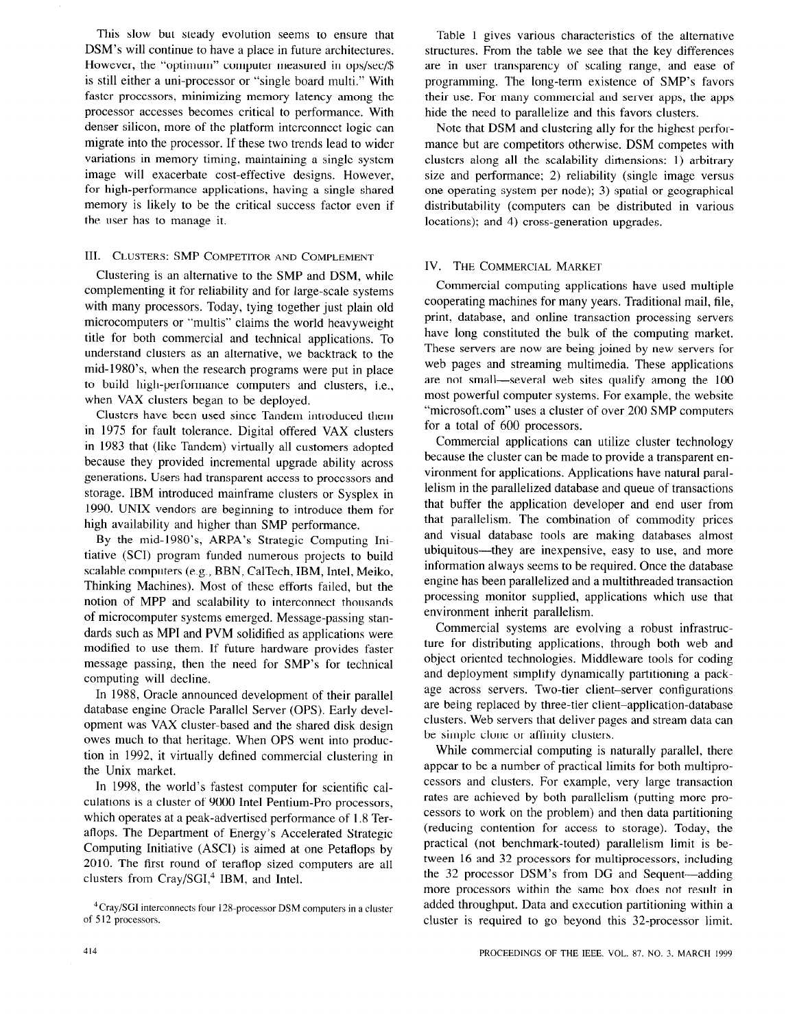This slow but steady evolution seems to ensure that DSM's will continue to have a place in future architectures. However, the "optimum" computer measured in ops/sec/\$ is still either a uni-processor or "single board multi." With faster processors, minimizing memory latency among the processor accesses becomes critical to performance. With denser silicon, more of the platform interconnect logic can migrate into the processor. If these two trends lead to wider variations in memory timing, maintaining a single system image will exacerbate cost-effective designs. However, for high-performance applications, having a single shared memory is likely to be the critical success factor even if the user has to manage it.

#### III. CLUSTERS: SMP COMPETITOR AND COMPLEMENT

Clustering is an alternative to the SMP and DSM, while complementing it for reliability and for large-scale systems with many processors. Today, tying together just plain old microcomputers or "multis" claims the world heavyweight title for both commercial and technical applications. To understand clusters as an alternative, we backtrack to the mid-1980's, when the research programs were put in place to build high-performance computers and clusters, i.e., when VAX clusters began to be deployed.

Clusters have been used since Tandem introduced them in 1975 for fault tolerance. Digital offered VAX clusters in 1983 that (like Tandem) virtually all customers adopted because they provided incremental upgrade ability across generations. Users had transparent access to processors and storage. IBM introduced mainframe clusters or Sysplex in 1990. UNIX vendors are beginning to introduce them for high availability and higher than SMP performance.

By the mid-1980's, ARPA's Strategic Computing Initiative (SCI) program funded numerous projects to build scalable computers (e.g., BBN, CalTech, IBM, Intel, Meiko, Thinking Machines). Most of these efforts failed, but the notion of MPP and scalability to interconnect thousands of microcomputer systems emerged. Message-passing standards such as MPI and PVM solidified as applications were modified to use them. If future hardware provides faster message passing, then the need for SMP's for technical computing will decline.

In 1988, Oracle announced development of their parallel database engine Oracle Parallel Server (OPS). Early development was VAX cluster-based and the shared disk design owes much to that heritage. When OPS went into production in 1992, it virtually defined commercial clustering in the Unix market.

In 1998, the world's fastest computer for scientific calculations is a cluster of 9000 Intel Pentium-Pro processors, which operates at a peak-advertised performance of 1.8 Teraflops. The Department of Energy's Accelerated Strategic Computing Initiative (ASCI) is aimed at one Petaflops by 2010. The first round of teraflop sized computers are all clusters from  $Cray/SGI<sub>+</sub><sup>4</sup> IBM, and Intel.$ 

Table 1 gives various characteristics of the alternative structures. From the table we see that the key differences are in user transparency of scaling range, and ease of programming. The long-term existence of SMP's favors their use. For many commercial and server apps, the apps hide the need to parallelize and this favors clusters.

Note that DSM and clustering ally for the highest performance but are competitors otherwise. DSM competes with clusters along all the scalability dimensions: 1) arbitrary size and performance; 2) reliability (single image versus one operating system per node); 3) spatial or geographical distributability (computers can be distributed in various locations); and 4) cross-generation upgrades.

#### IV. THE COMMERCIAL MARKET

Commercial computing applications have used multiple cooperating machines for many years. Traditional mail, file, print, database, and online transaction processing servers have long constituted the bulk of the computing market. These servers are now are being joined by new servers for web pages and streaming multimedia. These applications are not small-several web sites qualify among the 100 most powerful computer systems. For example, the website "microsoft.com" uses a cluster of over 200 SMP computers for a total of 600 processors.

Commercial applications can utilize cluster technology because the cluster can be made to provide a transparent environment for applications. Applications have natural parallelism in the parallelized database and queue of transactions that buffer the application developer and end user from that parallelism. The combination of commodity prices and visual database tools are making databases almost ubiquitous—they are inexpensive, easy to use, and more information always seems to be required. Once the database engine has been parallelized and a multithreaded transaction processing monitor supplied, applications which use that environment inherit parallelism.

Commercial systems are evolving a robust infrastructure for distributing applications, through both web and object oriented technologies. Middleware tools for coding and deployment simplify dynamically partitioning a package across servers. Two-tier client-server configurations are being replaced by three-tier client-application-database clusters. Web servers that deliver pages and stream data can be simple clone or affinity clusters.

While commercial computing is naturally parallel, there appear to be a number of practical limits for both multiprocessors and clusters. For example, very large transaction rates are achieved by both parallelism (putting more processors to work on the problem) and then data partitioning (reducing contention for access to storage). Today, the practical (not benchmark-touted) parallelism limit is between 16 and 32 processors for multiprocessors, including the 32 processor DSM's from DG and Sequent-adding more processors within the same box does not result in added throughput. Data and execution partitioning within a cluster is required to go beyond this 32-processor limit.

<sup>&</sup>lt;sup>4</sup> Cray/SGI interconnects four 128-processor DSM computers in a cluster of 5 12 processors.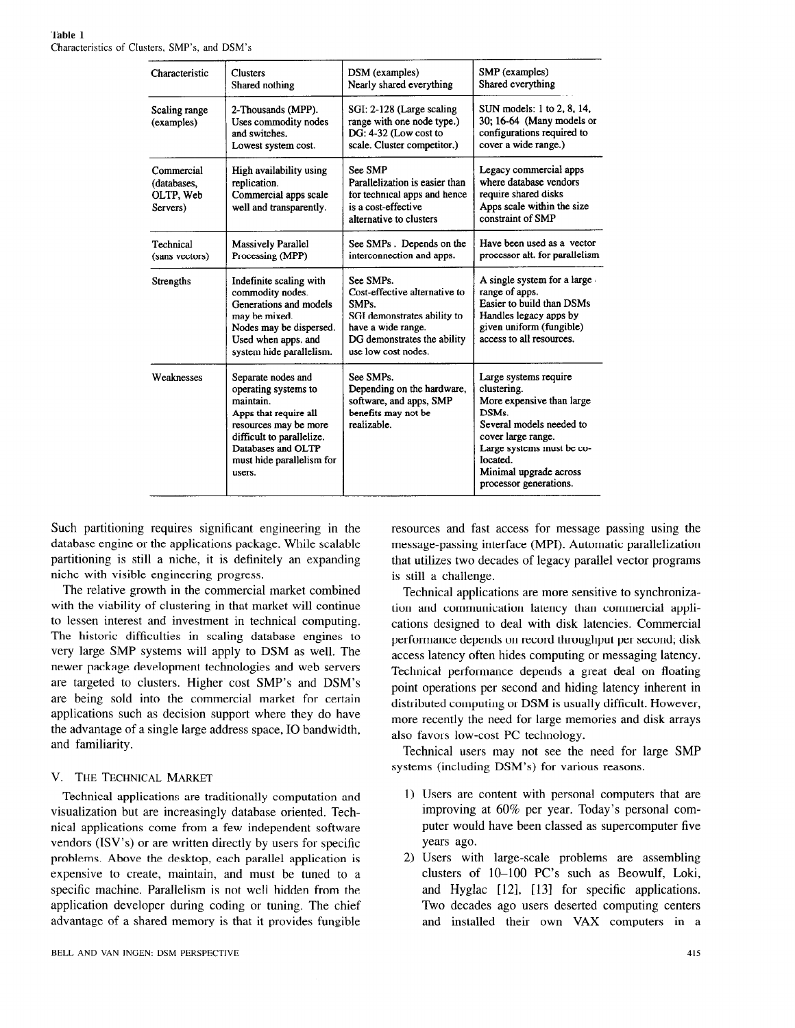| Characteristic                                     | <b>Clusters</b><br>Shared nothing                                                                                                                                                                   | DSM (examples)<br>Nearly shared everything                                                                                                                                | SMP (examples)<br>Shared everything                                                                                                                                                                                             |
|----------------------------------------------------|-----------------------------------------------------------------------------------------------------------------------------------------------------------------------------------------------------|---------------------------------------------------------------------------------------------------------------------------------------------------------------------------|---------------------------------------------------------------------------------------------------------------------------------------------------------------------------------------------------------------------------------|
| Scaling range<br>(examples)                        | 2-Thousands (MPP).<br>Uses commodity nodes<br>and switches.<br>Lowest system cost.                                                                                                                  | SGI: 2-128 (Large scaling<br>range with one node type.)<br>DG: 4-32 (Low cost to<br>scale. Cluster competitor.)                                                           | SUN models: 1 to 2, 8, 14,<br>30; 16-64 (Many models or<br>configurations required to<br>cover a wide range.)                                                                                                                   |
| Commercial<br>(databases.<br>OLTP. Web<br>Servers) | High availability using<br>replication.<br>Commercial apps scale<br>well and transparently.                                                                                                         | See SMP<br>Parallelization is easier than<br>for technical apps and hence<br>is a cost-effective<br>alternative to clusters                                               | Legacy commercial apps<br>where database vendors<br>require shared disks<br>Apps scale within the size<br>constraint of SMP                                                                                                     |
| Technical<br>(sans vectors)                        | Massively Parallel<br>Processing (MPP)                                                                                                                                                              | See SMPs. Depends on the<br>interconnection and apps.                                                                                                                     | Have been used as a vector<br>processor alt. for parallelism                                                                                                                                                                    |
| <b>Strengths</b>                                   | Indefinite scaling with<br>commodity nodes.<br>Generations and models<br>may be mixed.<br>Nodes may be dispersed.<br>Used when apps. and<br>system hide parallelism.                                | See SMPs.<br>Cost-effective alternative to<br>SMP <sub>s</sub><br>SGI demonstrates ability to<br>have a wide range.<br>DG demonstrates the ability<br>use low cost nodes. | A single system for a large<br>range of apps.<br>Easier to build than DSMs<br>Handles legacy apps by<br>given uniform (fungible)<br>access to all resources.                                                                    |
| Weaknesses                                         | Separate nodes and<br>operating systems to<br>maintain.<br>Apps that require all<br>resources may be more<br>difficult to parallelize.<br>Databases and OLTP<br>must hide parallelism for<br>users. | See SMPs.<br>Depending on the hardware,<br>software, and apps, SMP<br>benefits may not be<br>realizable.                                                                  | Large systems require<br>clustering.<br>More expensive than large<br><b>DSMs</b><br>Several models needed to<br>cover large range.<br>Large systems must be co-<br>located.<br>Minimal upgrade across<br>processor generations. |

Such partitioning requires significant engineering in the database engine or the applications package. While scalable partitioning is still a niche, it is definitely an expanding niche with visible engineering progress.

The relative growth in the commercial market combined with the viability of clustering in that market will continue to lessen interest and investment in technical computing. The historic difficulties in scaling database engines to very large SMP systems will apply to DSM as well. The newer package development technologies and web servers are targeted to clusters. Higher cost SMP's and DSM's are being sold into the commercial market for certain applications such as decision support where they do have the advantage of a single large address space, IO bandwidth, and familiarity.

## V. THE TECHNICAL MARKET

Technical applications are traditionally computation and visualization but are increasingly database oriented. Technical applications come from a few independent software vendors (ISV's) or are written directly by users for specific problems. Above the desktop, each parallel application is expensive to create, maintain, and must be tuned to a specific machine. Parallelism is not well hidden from the application developer during coding or tuning. The chief advantage of a shared memory is that it provides fungible

resources and fast access for message passing using the message-passing interface (MPI). Automatic parallelization that utilizes two decades of legacy parallel vector programs is still a challenge.

Technical applications are more sensitive to synchronization and communication latency than commercial applications designed to deal with disk latencies. Commercial performance depends on record throughput per second; disk access latency often hides computing or messaging latency. Technical performance depends a great deal on floating point operations per second and hiding latency inherent in distributed computing or DSM is usually difficult. However, more recently the need for large memories and disk arrays also favors low-cost PC technology.

Technical users may not see the need for large SMP systems (including DSM's) for various reasons.

- 1) Users are content with personal computers that are improving at 60% per year. Today's personal computer would have been classed as supercomputer five years ago.
- 2) Users with large-scale problems are assembling clusters of 10-100 PC's such as Beowulf, Loki, and Hyglac [12], [13] for specific applications. Two decades ago users deserted computing centers and installed their own VAX computers in a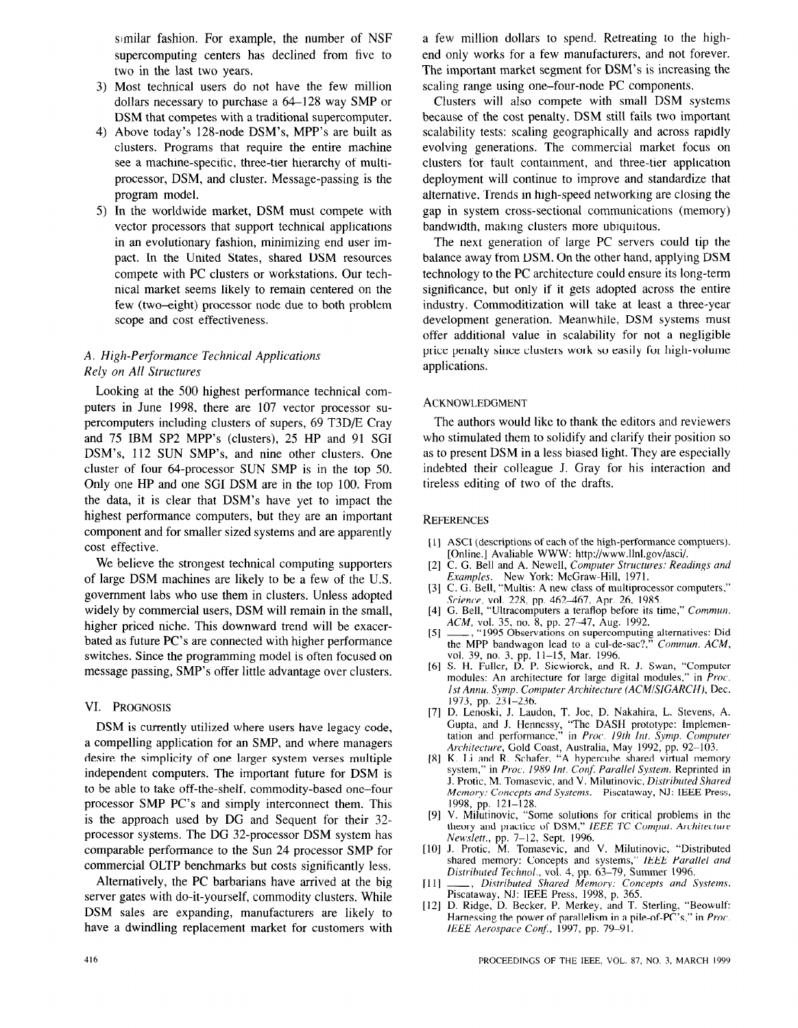similar fashion. For example, the number of NSF supercomputing centers has declined from five to two in the last two years.

- 3) Most technical users do not have the few million dollars necessary to purchase a 64-128 way SMP or DSM that competes with a traditional supercomputer.
- 4) Above today's 128-node DSM's, MPP's are built as clusters. Programs that require the entire machine see a machine-specific, three-tier hierarchy of multiprocessor, DSM, and cluster. Message-passing is the program model.
- 5) In the worldwide market, DSM must compete with vector processors that support technical applications in an evolutionary fashion, minimizing end user impact. In the United States, shared DSM resources compete with PC clusters or workstations. Our technical market seems likely to remain centered on the few (two-eight) processor node due to both problem scope and cost effectiveness.

# A. High-Performance Technical Applications Rely on All Structures

Looking at the 500 highest performance technical computers in June 1998, there are 107 vector processor supercomputers including clusters of supers, 69 T3D/E Cray and 75 IBM SP2 MPP's (clusters), 25 HP and 91 SGI DSM's, 112 SUN SMP's, and nine other clusters. One cluster of four 64-processor SUN SMP is in the top 50. Only one HP and one SGI DSM are in the top 100. From the data, it is clear that DSM's have yet to impact the highest performance computers, but they are an important comparison performance comparison, our moy are an important  $\frac{1}{2}$ 

cost effective.<br>We believe the strongest technical computing supporters of large DSM machines are likely to be a few of the U.S. government and  $\frac{d}{dx}$  who use the state  $\frac{d}{dx}$ government labs who use them in clusters, Omess adopted widely by commercial users, DSM will remain in the small. higher priced niche. This downward trend will be exacerbated as future PC's are connected with higher performance switches. Since the programming model is often focused on message passing, SMP's offer little advantage over clusters.

## VI. PROGNOSIS

DSM is currently utilized where users have legacy code, b currently utilized where users have legacy code, a compelling application for an SMP, and where managers desire the simplicity of one larger system verses multiple independent computers. The important future for DSM is to be able to take off-the-shelf, commodity-based one-four processor SMP PC's and simply interconnect them. This is the approach used by DG and Sequent for their 32processor systems. The DG 32-processor DSM system has comparable performance to the Sun 24 processor SMP for commercial OLTP benchmarks but costs significantly less.

Alternatively, the PC barbarians have arrived at the big server gates with do-it-yourself, commodity clusters. While DSM sales are expanding, manufacturers are likely to have a dwindling replacement market for customers with

a few million dollars to spend. Retreating to the highend only works for a few manufacturers, and not forever. The important market segment for DSM's is increasing the scaling range using one-four-node PC components.

Clusters will also compete with small DSM systems because of the cost penalty. DSM still fails two important scalability tests: scaling geographically and across rapidly evolving generations. The commercial market focus on clusters for fault containment, and three-tier application deployment will continue to improve and standardize that alternative. Trends in high-speed networking are closing the gap in system cross-sectional communications (memory) bandwidth, making clusters more ubiquitous.

The next generation of large PC servers could tip the balance away from DSM. On the other hand, applying DSM technology to the PC architecture could ensure its long-term significance, but only if it gets adopted across the entire industry. Commoditization will take at least a three-year development generation. Meanwhile, DSM systems must offer additional value in scalability for not a negligible price penalty since clusters work so easily for high-volume applications.

## ACKNOWLEDGMENT

The authors would like to thank the editors and reviewers who stimulated them to solidify and clarify their position so as to present DSM in a less biased light. They are especially indebted their colleague J. Gray for his interaction and tireless editing of two of the drafts.

## **REFERENCES**

- [II ASCI (descriptions of each of the high-performance comptuers). ASCI (descriptions of each of the high-performance com Online.] Avaliable WWW: http://www.llnl.gov/asci/.
- [21 C. G. Bell and A. Newell, Computer Structures: Readings and Examples. New York: McGraw-Hill, 1971.
- *Examples.* New YOTK: MCGraw-HIII,  $19/1$ . C. G. Ben, Munis: A new class of mumprocess
- Science, vol. 228, pp. 462–467, Apr. 26, 1985. G. Bell, "Ultracomputers a teranop before its ACM, vol. 35, no. 8, pp. 27-47, Aug. 1992.
- [51 vol. 39, no. 3, pp.  $[1-15, \text{Mar. } 1996, \dots]$ "1995 Observations on supercomputing alternatives: Did the MPP bandwagon lead to a cul-de-sac?," Commun.  $ACM$ ,
- S. H. Fuller, D. P. Siewiorek, and R. J. Swan, "Computer modules: An architecture for large digital modules," in  $\hat{P}roc$ . 1st Annu. Symp. Computer Architecture (ACM/SIGARCH), Dec. 1973, pp. 231–236.
- 1973, pp. 231–236.<br>[7] D. Lenoski, J. Laudon, T. Joe, D. Nakahira, L. Stevens, 7 Gupta, and J. Hennessy, "The DASH prototype: Implemen tation and performance," in *Proc. 19th Int. Symp. Comp*. Architecture, Gold Coast, Australia, May 1992, pp. 92-103.
- Architecture, Gold Coast, Australia, May 1992, pp. 92–103.<br>[8] K. Li and R. Schafer, "A hypercube shared virtual memory system," in Proc. 1989 Int. Conf. Parallel System. Reprinted in J. Protic, M. Tomasevic, and V. Milutinovic, Distributed Shared Memory: Concepts and Systems. Piscataway, NJ: IEEE Press. 1998, pp. 121-128.
- *Newslett.*, pp. 7–12, Sept. 1996. [9] V. Milutinovic, "Some solutions for critical problems in the theory and practice of DSM," IEEE TC Comput. Architecture
- J. Protic, M. Tomasevic, and V. Milutinovic, "Distributed shared memory: Concepts and systems," IEEE Parallel and ted Technol., vol. 4, pp. 63–79. Summer 1996.
- $[11]$ **Distributed Shared Memory Conc** Distributed Shared Hemory. Com<br>Piscataway, NJ: IEEE Press, 1998, p. 365.
- [12] D. Ridge, D. Becker, P. Merkey, and T. Sterling, "Beowulf: Harnessing the power of parallelism in a pile-of-PC's," in  $Proc$ IEEE Aerospace Conf., 1997, pp. 79-91.